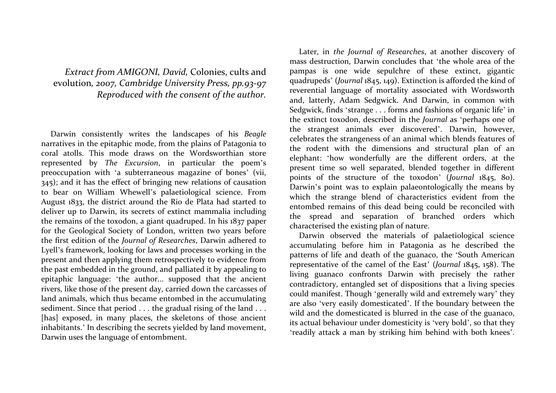Extract from AMIGONI, David, Colonies, cults and evolution, 2007, Cambridge University Press, pp.93-97 Reproduced with the consent of the author.

Darwin consistently writes the landscapes of his Beagle narratives in the epitaphic mode, from the plains of Patagonia to coral atolls. This mode draws on the Wordsworthian store represented by The Excursion, in particular the poem'<sup>s</sup> preoccupation with 'a subterraneous magazine of bones' (vii, 345); and it has the effect of bringing new relations of causation to bear on William Whewell's palaetiological science. From August 1833, the district around the Rio de Plata had started to deliver up to Darwin, its secrets of extinct mammalia including the remains of the toxodon, a giant quadruped. In his 1837 paper for the Geological Society of London, written two years before the first edition of the Journal of Researches, Darwin adhered to Lyell's framework, looking for laws and processes working in the present and then applying them retrospectively to evidence from the past embedded in the ground, and palliated it by appealing to epitaphic language: 'the author... supposed that the ancient rivers, like those of the present day, carried down the carcasses of land animals, which thus became entombed in the accumulating sediment. Since that period . . . the gradual rising of the land . . . [has] exposed, in many places, the skeletons of those ancient inhabitants.' In describing the secrets yielded by land movement,Darwin uses the language of entombment.

Later, in the Journal of Researches, at another discovery of mass destruction, Darwin concludes that 'the whole area of the pampas is one wide sepulchre of these extinct, gigantic quadrupeds' (Journal 1845, 149). Extinction is afforded the kind of reverential language of mortality associated with Wordsworth and, latterly, Adam Sedgwick. And Darwin, in common with Sedgwick, finds 'strange . . . forms and fashions of organic life' in the extinct toxodon, described in the Journal as 'perhaps one of the strangest animals ever discovered'. Darwin, however, celebrates the strangeness of an animal which blends features of the rodent with the dimensions and structural plan of an elephant: 'how wonderfully are the different orders, at the present time so well separated, blended together in different points of the structure of the toxodon' (Journal 1845, 80). Darwin's point was to explain palaeontologically the means by which the strange blend of characteristics evident from the entombed remains of this dead being could be reconciled with the spread and separation of branched orders which characterised the existing plan of nature.

 Darwin observed the materials of palaetiological science accumulating before him in Patagonia as he described the patterns of life and death of the guanaco, the 'South American representative of the camel of the East' (Journal 1845, 158). The living guanaco confronts Darwin with precisely the rather contradictory, entangled set of dispositions that a living species could manifest. Though 'generally wild and extremely wary' they are also 'very easily domesticated'. If the boundary between the wild and the domesticated is blurred in the case of the guanaco, its actual behaviour under domesticity is 'very bold', so that they 'readily attack a man by striking him behind with both knees'.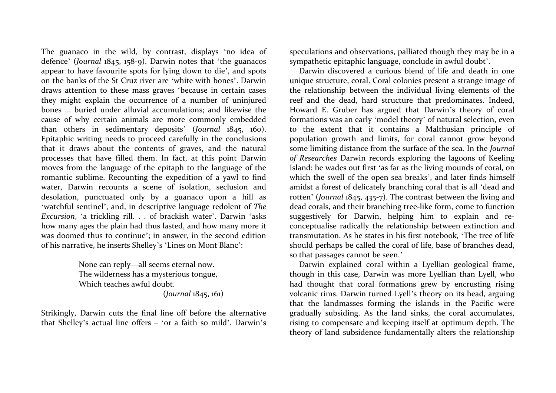The guanaco in the wild, by contrast, displays 'no idea of defence' (Journal 1845, 158-9). Darwin notes that 'the guanacos appear to have favourite spots for lying down to di<sup>e</sup>', and spots on the banks of the St Cruz river are 'white with bones'. Darwin draws attention to these mass graves 'because in certain cases they might explain the occurrence of a number of uninjured bones ... buried under alluvial accumulations; and likewise the cause of why certain animals are more commonly embedded than others in sedimentary deposits' (Journal 1845, 160). Epitaphic writing needs to proceed carefully in the conclusions that it draws about the contents of graves, and the natural processes that have filled them. In fact, at this point Darwin moves from the language of the epitaph to the language of the romantic sublime. Recounting the expedition of a yawl to find water, Darwin recounts a scene of isolation, seclusion and desolation, punctuated only by a guanaco upon a hill as 'watchful sentinel', and, in descriptive language redolent of The Excursion, 'a trickling rill. . . of brackish water'. Darwin 'asks how many ages the plain had thus lasted, and how many more it was doomed thus to continue'; in answer, in the second edition of his narrative, he inserts Shelley's 'Lines on Mont Blanc':

> None can reply—all seems eternal now. The wilderness has a mysterious tongue, Which teaches awful doubt.

(Journal 1845, 161)

Strikingly, Darwin cuts the final line off before the alternative that Shelley's actual line offers – 'or a faith so mild'. Darwin'<sup>s</sup> speculations and observations, palliated though they may be in a sympathetic epitaphic language, conclude in awful doubt'.

 Darwin discovered a curious blend of life and death in one unique structure, coral. Coral colonies present a strange image of the relationship between the individual living elements of the reef and the dead, hard structure that predominates. Indeed, Howard E. Gruber has argued that Darwin's theory of coral formations was an early 'model theory' of natural selection, even to the extent that it contains a Malthusian principle of population growth and limits, for coral cannot grow beyond some limiting distance from the surface of the sea. In the Journal of Researches Darwin records exploring the lagoons of Keeling Island: he wades out first 'as far as the living mounds of coral, on which the swell of the open sea breaks', and later finds himself amidst a forest of delicately branching coral that is all 'dead and rotten' (Journal 1845, 435-7). The contrast between the living and dead corals, and their branching tree-like form, come to function suggestively for Darwin, helping him to explain and reconceptualise radically the relationship between extinction and transmutation. As he states in his first notebook, 'The tree of life should perhaps be called the coral of life, base of branches dead, so that passages cannot be seen.'

 Darwin explained coral within a Lyellian geological frame, though in this case, Darwin was more Lyellian than Lyell, who had thought that coral formations grew by encrusting rising volcanic rims. Darwin turned Lyell's theory on its head, arguing that the landmasses forming the islands in the Pacific were gradually subsiding. As the land sinks, the coral accumulates, rising to compensate and keeping itself at optimum depth. The theory of land subsidence fundamentally alters the relationship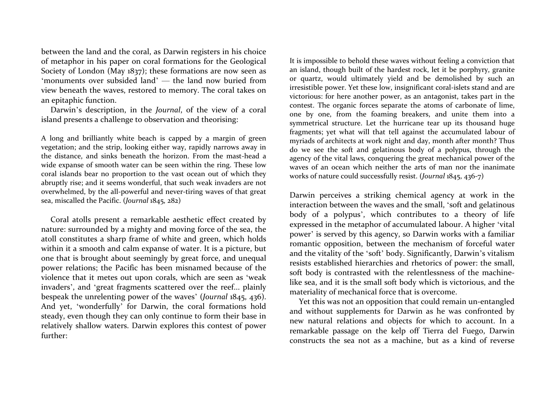between the land and the coral, as Darwin registers in his choice of metaphor in his paper on coral formations for the Geological Society of London (May 1837); these formations are now seen as 'monuments over subsided land' — the land now buried from view beneath the waves, restored to memory. The coral takes on an epitaphic function.

Darwin's description, in the Journal, of the view of a coral island presents a challenge to observation and theorising:

A long and brilliantly white beach is capped by a margin of green vegetation; and the strip, looking either way, rapidly narrows away in the distance, and sinks beneath the horizon. From the mast-head a wide expanse of smooth water can be seen within the ring. These low coral islands bear no proportion to the vast ocean out of which they abruptly rise; and it seems wonderful, that such weak invaders are not overwhelmed, by the all-powerful and never-tiring waves of that great sea, miscalled the Pacific. (Journal 1845, 282)

Coral atolls present a remarkable aesthetic effect created by nature: surrounded by a mighty and moving force of the sea, the atoll constitutes a sharp frame of white and green, which holds within it a smooth and calm expanse of water. It is a picture, but one that is brought about seemingly by great force, and unequal power relations; the Pacific has been misnamed because of the violence that it metes out upon corals, which are seen as 'weak invaders', and 'great fragments scattered over the reef... plainly bespeak the unrelenting power of the waves' (Journal 1845, 436). And yet, 'wonderfully' for Darwin, the coral formations hold steady, even though they can only continue to form their base in relatively shallow waters. Darwin explores this contest of power further:

It is impossible to behold these waves without feeling a conviction that an island, though built of the hardest rock, let it be porphyry, granite or quartz, would ultimately yield and be demolished by such an irresistible power. Yet these low, insignificant coral-islets stand and are victorious: for here another power, as an antagonist, takes part in the contest. The organic forces separate the atoms of carbonate of lime, one by one, from the foaming breakers, and unite them into a symmetrical structure. Let the hurricane tear up its thousand huge fragments; yet what will that tell against the accumulated labour of myriads of architects at work night and day, month after month? Thus do we see the soft and gelatinous body of a polypus, through the agency of the vital laws, conquering the great mechanical power of the waves of an ocean which neither the arts of man nor the inanimate works of nature could successfully resist. (Journal 1845, 436-7)

Darwin perceives a striking chemical agency at work in the interaction between the waves and the small, 'soft and gelatinous body of a polypus', which contributes to a theory of life expressed in the metaphor of accumulated labour. A higher 'vital power' is served by this agency, so Darwin works with a familiar romantic opposition, between the mechanism of forceful water and the vitality of the 'soft' body. Significantly, Darwin's vitalism resists established hierarchies and rhetorics of power: the small, soft body is contrasted with the relentlessness of the machinelike sea, and it is the small soft body which is victorious, and the materiality of mechanical force that is overcome.

Yet this was not an opposition that could remain un-entangled and without supplements for Darwin as he was confronted by new natural relations and objects for which to account. In a remarkable passage on the kelp off Tierra del Fuego, Darwin constructs the sea not as a machine, but as a kind of reverse